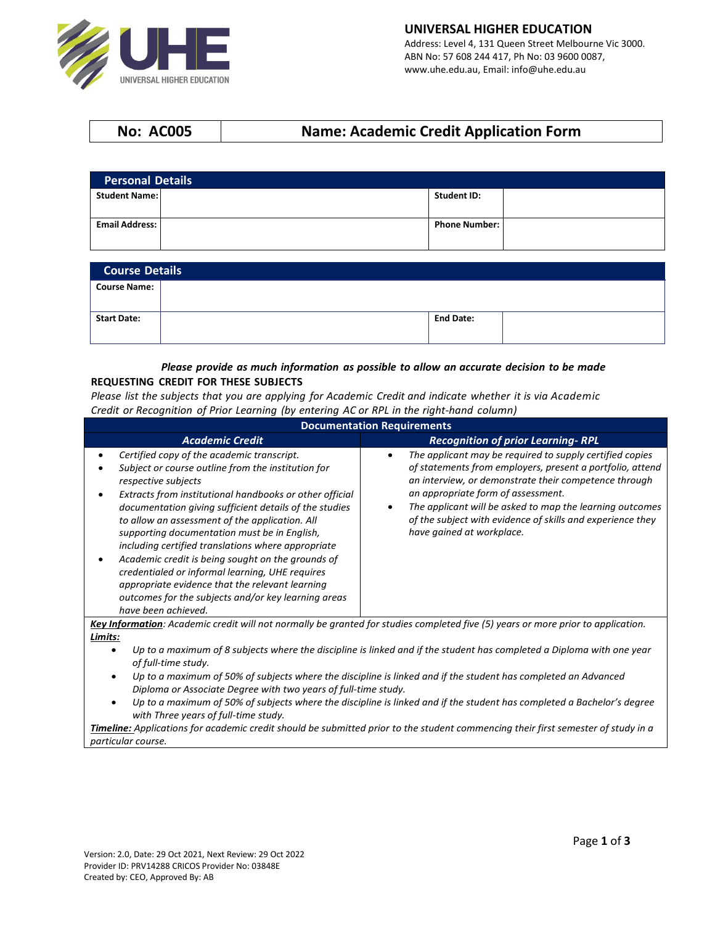

# **No: AC005 Name: Academic Credit Application Form**

| <b>Personal Details</b> |  |                      |  |
|-------------------------|--|----------------------|--|
| <b>Student Name:</b>    |  | <b>Student ID:</b>   |  |
| <b>Email Address:</b>   |  | <b>Phone Number:</b> |  |
|                         |  |                      |  |

| <b>Course Details</b> |  |                  |  |
|-----------------------|--|------------------|--|
| <b>Course Name:</b>   |  |                  |  |
| <b>Start Date:</b>    |  | <b>End Date:</b> |  |

#### *Please provide as much information as possible to allow an accurate decision to be made* **REQUESTING CREDIT FOR THESE SUBJECTS**

Please list the subjects that you are applying for Academic Credit and indicate whether it is via Academic *Credit or Recognition of Prior Learning (by entering AC or RPL in the right‐hand column)*

| <b>Documentation Requirements</b>                                                                                                                                                                                                                                                                                                                                                                                                                                                                                                                                                                                                             |                                                                                                                                                                                                                                                                                                                                                                                                       |  |  |
|-----------------------------------------------------------------------------------------------------------------------------------------------------------------------------------------------------------------------------------------------------------------------------------------------------------------------------------------------------------------------------------------------------------------------------------------------------------------------------------------------------------------------------------------------------------------------------------------------------------------------------------------------|-------------------------------------------------------------------------------------------------------------------------------------------------------------------------------------------------------------------------------------------------------------------------------------------------------------------------------------------------------------------------------------------------------|--|--|
| <b>Academic Credit</b>                                                                                                                                                                                                                                                                                                                                                                                                                                                                                                                                                                                                                        | <b>Recognition of prior Learning-RPL</b>                                                                                                                                                                                                                                                                                                                                                              |  |  |
| Certified copy of the academic transcript.<br>Subject or course outline from the institution for<br>respective subjects<br>Extracts from institutional handbooks or other official<br>documentation giving sufficient details of the studies<br>to allow an assessment of the application. All<br>supporting documentation must be in English,<br>including certified translations where appropriate<br>Academic credit is being sought on the grounds of<br>credentialed or informal learning, UHE requires<br>appropriate evidence that the relevant learning<br>outcomes for the subjects and/or key learning areas<br>have been achieved. | The applicant may be required to supply certified copies<br>$\bullet$<br>of statements from employers, present a portfolio, attend<br>an interview, or demonstrate their competence through<br>an appropriate form of assessment.<br>The applicant will be asked to map the learning outcomes<br>$\bullet$<br>of the subject with evidence of skills and experience they<br>have gained at workplace. |  |  |
| Limits:                                                                                                                                                                                                                                                                                                                                                                                                                                                                                                                                                                                                                                       | Key Information: Academic credit will not normally be granted for studies completed five (5) years or more prior to application.                                                                                                                                                                                                                                                                      |  |  |
| Up to a maximum of 8 subjects where the discipline is linked and if the student has completed a Diploma with one year                                                                                                                                                                                                                                                                                                                                                                                                                                                                                                                         |                                                                                                                                                                                                                                                                                                                                                                                                       |  |  |

- *of full-time study.* • *Up to a maximum of 50% of subjects where the discipline is linked and if the student has completed an Advanced Diploma or Associate Degree with two years of full-time study.*
- *Up to a maximum of 50% of subjects where the discipline is linked and if the student has completed a Bachelor's degree with Three years of full-time study.*

*Timeline: Applications for academic credit should be submitted prior to the student commencing their first semester of study in a particular course.*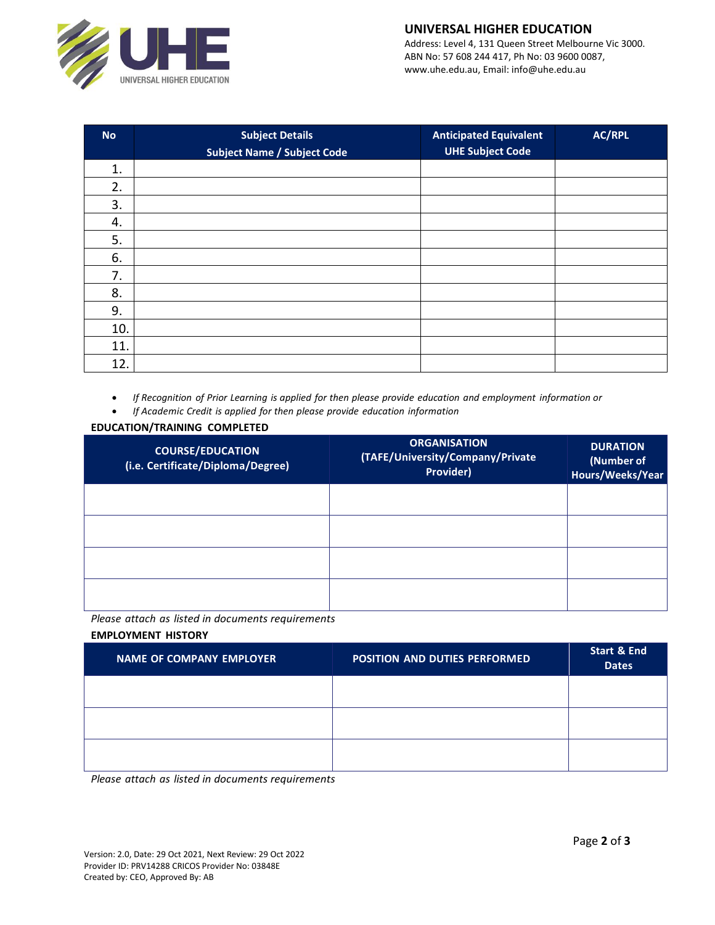

# **UNIVERSAL HIGHER EDUCATION**

Address: Level 4, 131 Queen Street Melbourne Vic 3000. ABN No: 57 608 244 417, Ph No: 03 9600 0087, www.uhe.edu.au, Email: info@uhe.edu.au

| <b>No</b> | <b>Subject Details</b>             | <b>Anticipated Equivalent</b> | AC/RPL |
|-----------|------------------------------------|-------------------------------|--------|
|           | <b>Subject Name / Subject Code</b> | <b>UHE Subject Code</b>       |        |
| 1.        |                                    |                               |        |
| 2.        |                                    |                               |        |
| 3.        |                                    |                               |        |
| 4.        |                                    |                               |        |
| 5.        |                                    |                               |        |
| 6.        |                                    |                               |        |
| 7.        |                                    |                               |        |
| 8.        |                                    |                               |        |
| 9.        |                                    |                               |        |
| 10.       |                                    |                               |        |
| 11.       |                                    |                               |        |
| 12.       |                                    |                               |        |

• *If Recognition of Prior Learning is applied for then please provide education and employment information or*

• *If Academic Credit is applied for then please provide education information*

### **EDUCATION/TRAINING COMPLETED**

| <b>COURSE/EDUCATION</b><br>(i.e. Certificate/Diploma/Degree) | <b>ORGANISATION</b><br>(TAFE/University/Company/Private<br>Provider) | <b>DURATION</b><br>(Number of<br>Hours/Weeks/Year |
|--------------------------------------------------------------|----------------------------------------------------------------------|---------------------------------------------------|
|                                                              |                                                                      |                                                   |
|                                                              |                                                                      |                                                   |
|                                                              |                                                                      |                                                   |
|                                                              |                                                                      |                                                   |

*Please attach as listed in documents requirements*

### **EMPLOYMENT HISTORY**

| <b>NAME OF COMPANY EMPLOYER</b> | <b>POSITION AND DUTIES PERFORMED</b> | <b>Start &amp; End</b><br><b>Dates</b> |
|---------------------------------|--------------------------------------|----------------------------------------|
|                                 |                                      |                                        |
|                                 |                                      |                                        |
|                                 |                                      |                                        |

*Please attach as listed in documents requirements*